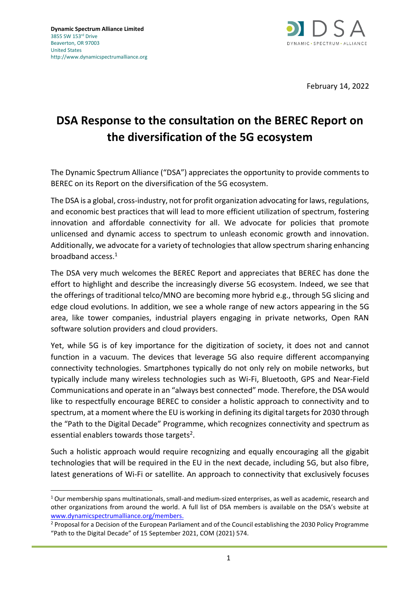

February 14, 2022

## **DSA Response to the consultation on the BEREC Report on the diversification of the 5G ecosystem**

The Dynamic Spectrum Alliance ("DSA") appreciates the opportunity to provide comments to BEREC on its Report on the diversification of the 5G ecosystem.

The DSA is a global, cross-industry, not for profit organization advocating for laws, regulations, and economic best practices that will lead to more efficient utilization of spectrum, fostering innovation and affordable connectivity for all. We advocate for policies that promote unlicensed and dynamic access to spectrum to unleash economic growth and innovation. Additionally, we advocate for a variety of technologies that allow spectrum sharing enhancing broadband access. 1

The DSA very much welcomes the BEREC Report and appreciates that BEREC has done the effort to highlight and describe the increasingly diverse 5G ecosystem. Indeed, we see that the offerings of traditional telco/MNO are becoming more hybrid e.g., through 5G slicing and edge cloud evolutions. In addition, we see a whole range of new actors appearing in the 5G area, like tower companies, industrial players engaging in private networks, Open RAN software solution providers and cloud providers.

Yet, while 5G is of key importance for the digitization of society, it does not and cannot function in a vacuum. The devices that leverage 5G also require different accompanying connectivity technologies. Smartphones typically do not only rely on mobile networks, but typically include many wireless technologies such as Wi-Fi, Bluetooth, GPS and Near-Field Communications and operate in an "always best connected" mode. Therefore, the DSA would like to respectfully encourage BEREC to consider a holistic approach to connectivity and to spectrum, at a moment where the EU is working in defining its digital targets for 2030 through the "Path to the Digital Decade" Programme, which recognizes connectivity and spectrum as essential enablers towards those targets<sup>2</sup>.

Such a holistic approach would require recognizing and equally encouraging all the gigabit technologies that will be required in the EU in the next decade, including 5G, but also fibre, latest generations of Wi-Fi or satellite. An approach to connectivity that exclusively focuses

 $1$  Our membership spans multinationals, small-and medium-sized enterprises, as well as academic, research and other organizations from around the world. A full list of DSA members is available on the DSA's website at [www.dynamicspectrumalliance.org/members.](http://www.dynamicspectrumalliance.org/members)

<sup>&</sup>lt;sup>2</sup> Proposal for a Decision of the European Parliament and of the Council establishing the 2030 Policy Programme "Path to the Digital Decade" of 15 September 2021, COM (2021) 574.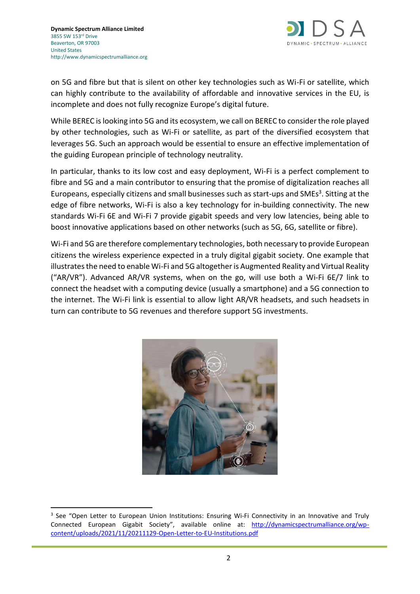

on 5G and fibre but that is silent on other key technologies such as Wi-Fi or satellite, which can highly contribute to the availability of affordable and innovative services in the EU, is incomplete and does not fully recognize Europe's digital future.

While BEREC is looking into 5G and its ecosystem, we call on BEREC to considerthe role played by other technologies, such as Wi-Fi or satellite, as part of the diversified ecosystem that leverages 5G. Such an approach would be essential to ensure an effective implementation of the guiding European principle of technology neutrality.

In particular, thanks to its low cost and easy deployment, Wi-Fi is a perfect complement to fibre and 5G and a main contributor to ensuring that the promise of digitalization reaches all Europeans, especially citizens and small businesses such as start-ups and SMEs<sup>3</sup>. Sitting at the edge of fibre networks, Wi-Fi is also a key technology for in-building connectivity. The new standards Wi-Fi 6E and Wi-Fi 7 provide gigabit speeds and very low latencies, being able to boost innovative applications based on other networks (such as 5G, 6G, satellite or fibre).

Wi-Fi and 5G are therefore complementary technologies, both necessary to provide European citizens the wireless experience expected in a truly digital gigabit society. One example that illustrates the need to enable Wi-Fi and 5G altogether is Augmented Reality and Virtual Reality ("AR/VR"). Advanced AR/VR systems, when on the go, will use both a Wi-Fi 6E/7 link to connect the headset with a computing device (usually a smartphone) and a 5G connection to the internet. The Wi-Fi link is essential to allow light AR/VR headsets, and such headsets in turn can contribute to 5G revenues and therefore support 5G investments.



<sup>&</sup>lt;sup>3</sup> See "Open Letter to European Union Institutions: Ensuring Wi-Fi Connectivity in an Innovative and Truly Connected European Gigabit Society", available online at: [http://dynamicspectrumalliance.org/wp](http://dynamicspectrumalliance.org/wp-content/uploads/2021/11/20211129-Open-Letter-to-EU-Institutions.pdf)[content/uploads/2021/11/20211129-Open-Letter-to-EU-Institutions.pdf](http://dynamicspectrumalliance.org/wp-content/uploads/2021/11/20211129-Open-Letter-to-EU-Institutions.pdf)